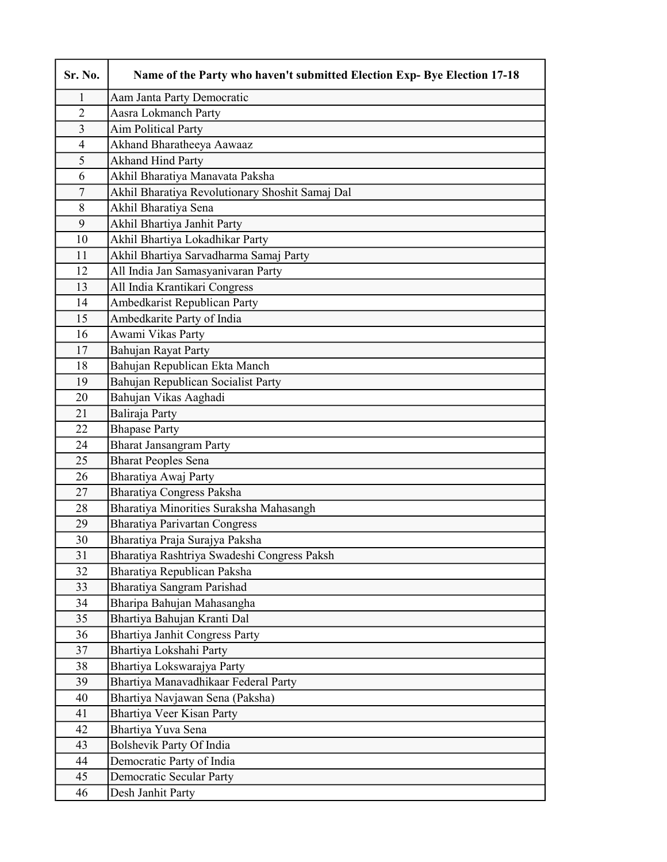| Sr. No.        | Name of the Party who haven't submitted Election Exp- Bye Election 17-18 |
|----------------|--------------------------------------------------------------------------|
| 1              | Aam Janta Party Democratic                                               |
| $\overline{2}$ | Aasra Lokmanch Party                                                     |
| 3              | Aim Political Party                                                      |
| $\overline{4}$ | Akhand Bharatheeya Aawaaz                                                |
| 5              | <b>Akhand Hind Party</b>                                                 |
| 6              | Akhil Bharatiya Manavata Paksha                                          |
| $\overline{7}$ | Akhil Bharatiya Revolutionary Shoshit Samaj Dal                          |
| $8\,$          | Akhil Bharatiya Sena                                                     |
| 9              | Akhil Bhartiya Janhit Party                                              |
| 10             | Akhil Bhartiya Lokadhikar Party                                          |
| 11             | Akhil Bhartiya Sarvadharma Samaj Party                                   |
| 12             | All India Jan Samasyanivaran Party                                       |
| 13             | All India Krantikari Congress                                            |
| 14             | Ambedkarist Republican Party                                             |
| 15             | Ambedkarite Party of India                                               |
| 16             | Awami Vikas Party                                                        |
| 17             | Bahujan Rayat Party                                                      |
| 18             | Bahujan Republican Ekta Manch                                            |
| 19             | Bahujan Republican Socialist Party                                       |
| 20             | Bahujan Vikas Aaghadi                                                    |
| 21             | Baliraja Party                                                           |
| 22             | <b>Bhapase Party</b>                                                     |
| 24             | <b>Bharat Jansangram Party</b>                                           |
| 25             | <b>Bharat Peoples Sena</b>                                               |
| 26             | Bharatiya Awaj Party                                                     |
| 27             | Bharatiya Congress Paksha                                                |
| 28             | Bharatiya Minorities Suraksha Mahasangh                                  |
| 29             | <b>Bharatiya Parivartan Congress</b>                                     |
| 30             | Bharatiya Praja Surajya Paksha                                           |
| 31             | Bharatiya Rashtriya Swadeshi Congress Paksh                              |
| 32             | Bharatiya Republican Paksha                                              |
| 33             | Bharatiya Sangram Parishad                                               |
| 34             | Bharipa Bahujan Mahasangha                                               |
| 35             | Bhartiya Bahujan Kranti Dal                                              |
| 36             | Bhartiya Janhit Congress Party                                           |
| 37             | Bhartiya Lokshahi Party                                                  |
| 38             | Bhartiya Lokswarajya Party                                               |
| 39             | Bhartiya Manavadhikaar Federal Party                                     |
| 40             | Bhartiya Navjawan Sena (Paksha)                                          |
| 41             | Bhartiya Veer Kisan Party                                                |
| 42             | Bhartiya Yuva Sena                                                       |
| 43             | Bolshevik Party Of India                                                 |
| 44             | Democratic Party of India                                                |
| 45             | <b>Democratic Secular Party</b>                                          |
| 46             | Desh Janhit Party                                                        |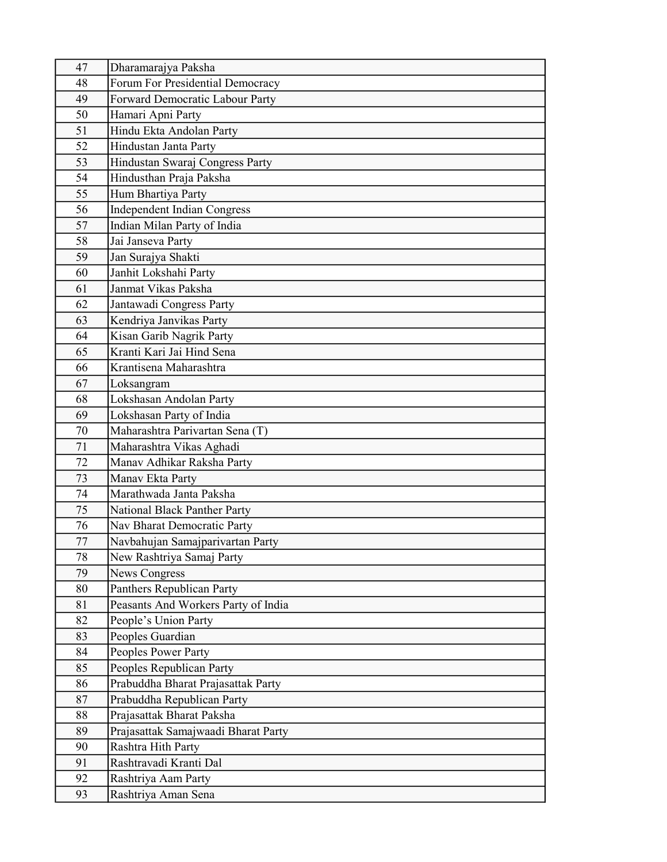| 47 | Dharamarajya Paksha                    |
|----|----------------------------------------|
| 48 | Forum For Presidential Democracy       |
| 49 | <b>Forward Democratic Labour Party</b> |
| 50 | Hamari Apni Party                      |
| 51 | Hindu Ekta Andolan Party               |
| 52 | Hindustan Janta Party                  |
| 53 | Hindustan Swaraj Congress Party        |
| 54 | Hindusthan Praja Paksha                |
| 55 | Hum Bhartiya Party                     |
| 56 | <b>Independent Indian Congress</b>     |
| 57 | Indian Milan Party of India            |
| 58 | Jai Janseva Party                      |
| 59 | Jan Surajya Shakti                     |
| 60 | Janhit Lokshahi Party                  |
| 61 | Janmat Vikas Paksha                    |
| 62 | Jantawadi Congress Party               |
| 63 | Kendriya Janvikas Party                |
| 64 | Kisan Garib Nagrik Party               |
| 65 | Kranti Kari Jai Hind Sena              |
| 66 | Krantisena Maharashtra                 |
| 67 | Loksangram                             |
| 68 | Lokshasan Andolan Party                |
| 69 | Lokshasan Party of India               |
| 70 | Maharashtra Parivartan Sena (T)        |
| 71 | Maharashtra Vikas Aghadi               |
| 72 | Manav Adhikar Raksha Party             |
| 73 | Manav Ekta Party                       |
| 74 | Marathwada Janta Paksha                |
| 75 | National Black Panther Party           |
| 76 | Nav Bharat Democratic Party            |
| 77 | Navbahujan Samajparivartan Party       |
| 78 | New Rashtriya Samaj Party              |
| 79 | <b>News Congress</b>                   |
| 80 | Panthers Republican Party              |
| 81 | Peasants And Workers Party of India    |
| 82 | People's Union Party                   |
| 83 | Peoples Guardian                       |
| 84 | Peoples Power Party                    |
| 85 | Peoples Republican Party               |
| 86 | Prabuddha Bharat Prajasattak Party     |
| 87 | Prabuddha Republican Party             |
| 88 | Prajasattak Bharat Paksha              |
| 89 | Prajasattak Samajwaadi Bharat Party    |
| 90 | Rashtra Hith Party                     |
| 91 | Rashtravadi Kranti Dal                 |
| 92 | Rashtriya Aam Party                    |
| 93 | Rashtriya Aman Sena                    |